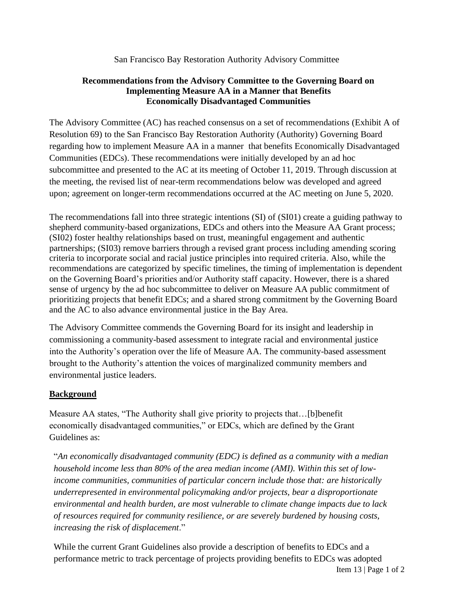San Francisco Bay Restoration Authority Advisory Committee

## **Recommendations from the Advisory Committee to the Governing Board on Implementing Measure AA in a Manner that Benefits Economically Disadvantaged Communities**

The Advisory Committee (AC) has reached consensus on a set of recommendations (Exhibit A of Resolution 69) to the San Francisco Bay Restoration Authority (Authority) Governing Board regarding how to implement Measure AA in a manner that benefits Economically Disadvantaged Communities (EDCs). These recommendations were initially developed by an ad hoc subcommittee and presented to the AC at its meeting of October 11, 2019. Through discussion at the meeting, the revised list of near-term recommendations below was developed and agreed upon; agreement on longer-term recommendations occurred at the AC meeting on June 5, 2020.

The recommendations fall into three strategic intentions (SI) of (SI01) create a guiding pathway to shepherd community-based organizations, EDCs and others into the Measure AA Grant process; (SI02) foster healthy relationships based on trust, meaningful engagement and authentic partnerships; (SI03) remove barriers through a revised grant process including amending scoring criteria to incorporate social and racial justice principles into required criteria. Also, while the recommendations are categorized by specific timelines, the timing of implementation is dependent on the Governing Board's priorities and/or Authority staff capacity. However, there is a shared sense of urgency by the ad hoc subcommittee to deliver on Measure AA public commitment of prioritizing projects that benefit EDCs; and a shared strong commitment by the Governing Board and the AC to also advance environmental justice in the Bay Area.

The Advisory Committee commends the Governing Board for its insight and leadership in commissioning a community-based assessment to integrate racial and environmental justice into the Authority's operation over the life of Measure AA. The community-based assessment brought to the Authority's attention the voices of marginalized community members and environmental justice leaders.

## **Background**

Measure AA states, "The Authority shall give priority to projects that…[b]benefit economically disadvantaged communities," or EDCs, which are defined by the Grant Guidelines as:

"*An economically disadvantaged community (EDC) is defined as a community with a median household income less than 80% of the area median income (AMI). Within this set of lowincome communities, communities of particular concern include those that: are historically underrepresented in environmental policymaking and/or projects, bear a disproportionate environmental and health burden, are most vulnerable to climate change impacts due to lack of resources required for community resilience, or are severely burdened by housing costs, increasing the risk of displacement*."

While the current Grant Guidelines also provide a description of benefits to EDCs and a performance metric to track percentage of projects providing benefits to EDCs was adopted